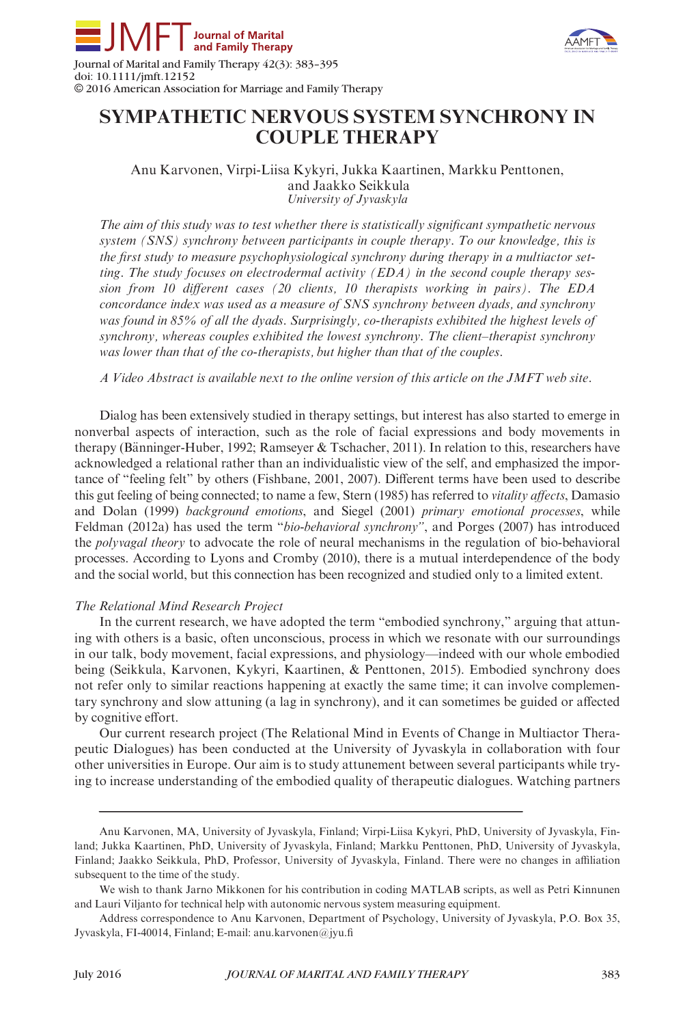



doi: 10.1111/jmft.12152 © 2016 American Association for Marriage and Family Therapy

# SYMPATHETIC NERVOUS SYSTEM SYNCHRONY IN COUPLE THERAPY

Anu Karvonen, Virpi-Liisa Kykyri, Jukka Kaartinen, Markku Penttonen, and Jaakko Seikkula University of Jyvaskyla

The aim of this study was to test whether there is statistically significant sympathetic nervous system (SNS) synchrony between participants in couple therapy. To our knowledge, this is the first study to measure psychophysiological synchrony during therapy in a multiactor setting. The study focuses on electrodermal activity  $(EDA)$  in the second couple therapy session from 10 different cases (20 clients, 10 therapists working in pairs). The EDA concordance index was used as a measure of SNS synchrony between dyads, and synchrony was found in 85% of all the dyads. Surprisingly, co-therapists exhibited the highest levels of synchrony, whereas couples exhibited the lowest synchrony. The client–therapist synchrony was lower than that of the co-therapists, but higher than that of the couples.

A Video Abstract is available next to the online version of this article on the JMFT web site.

Dialog has been extensively studied in therapy settings, but interest has also started to emerge in nonverbal aspects of interaction, such as the role of facial expressions and body movements in therapy (Bänninger-Huber, 1992; Ramseyer  $\&$  Tschacher, 2011). In relation to this, researchers have acknowledged a relational rather than an individualistic view of the self, and emphasized the importance of "feeling felt" by others (Fishbane, 2001, 2007). Different terms have been used to describe this gut feeling of being connected; to name a few, Stern (1985) has referred to *vitality affects*, Damasio and Dolan (1999) background emotions, and Siegel (2001) primary emotional processes, while Feldman (2012a) has used the term "bio-behavioral synchrony", and Porges (2007) has introduced the polyvagal theory to advocate the role of neural mechanisms in the regulation of bio-behavioral processes. According to Lyons and Cromby (2010), there is a mutual interdependence of the body and the social world, but this connection has been recognized and studied only to a limited extent.

# The Relational Mind Research Project

In the current research, we have adopted the term "embodied synchrony," arguing that attuning with others is a basic, often unconscious, process in which we resonate with our surroundings in our talk, body movement, facial expressions, and physiology—indeed with our whole embodied being (Seikkula, Karvonen, Kykyri, Kaartinen, & Penttonen, 2015). Embodied synchrony does not refer only to similar reactions happening at exactly the same time; it can involve complementary synchrony and slow attuning (a lag in synchrony), and it can sometimes be guided or affected by cognitive effort.

Our current research project (The Relational Mind in Events of Change in Multiactor Therapeutic Dialogues) has been conducted at the University of Jyvaskyla in collaboration with four other universities in Europe. Our aim is to study attunement between several participants while trying to increase understanding of the embodied quality of therapeutic dialogues. Watching partners

Anu Karvonen, MA, University of Jyvaskyla, Finland; Virpi-Liisa Kykyri, PhD, University of Jyvaskyla, Finland; Jukka Kaartinen, PhD, University of Jyvaskyla, Finland; Markku Penttonen, PhD, University of Jyvaskyla, Finland; Jaakko Seikkula, PhD, Professor, University of Jyvaskyla, Finland. There were no changes in affiliation subsequent to the time of the study.

We wish to thank Jarno Mikkonen for his contribution in coding MATLAB scripts, as well as Petri Kinnunen and Lauri Viljanto for technical help with autonomic nervous system measuring equipment.

Address correspondence to Anu Karvonen, Department of Psychology, University of Jyvaskyla, P.O. Box 35, Jyvaskyla, FI-40014, Finland; E-mail: anu.karvonen@jyu.fi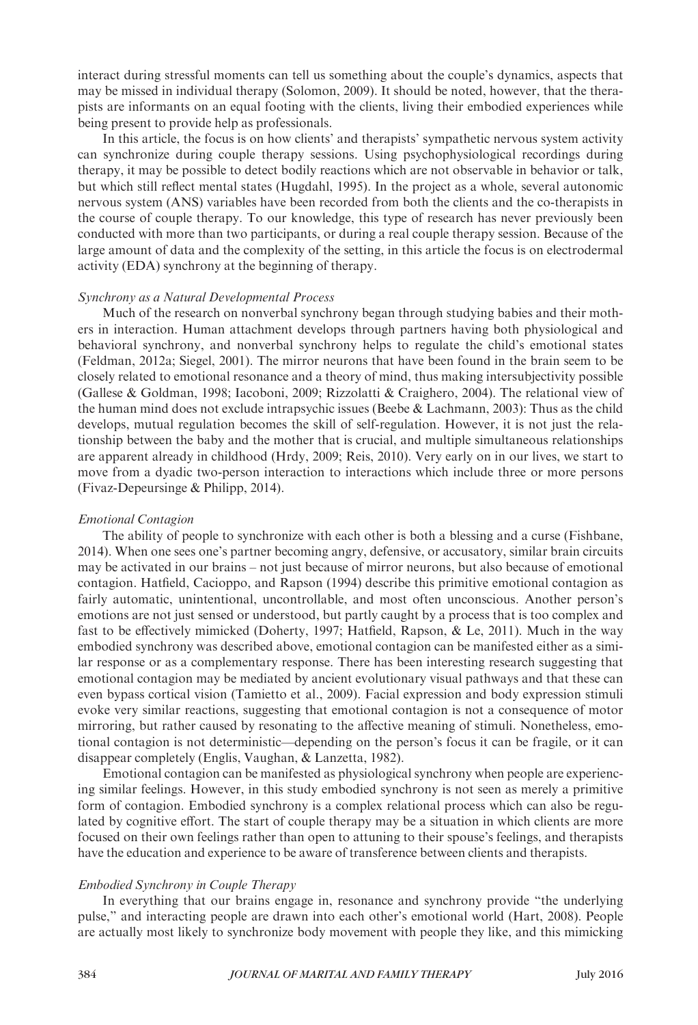interact during stressful moments can tell us something about the couple's dynamics, aspects that may be missed in individual therapy (Solomon, 2009). It should be noted, however, that the therapists are informants on an equal footing with the clients, living their embodied experiences while being present to provide help as professionals.

In this article, the focus is on how clients' and therapists' sympathetic nervous system activity can synchronize during couple therapy sessions. Using psychophysiological recordings during therapy, it may be possible to detect bodily reactions which are not observable in behavior or talk, but which still reflect mental states (Hugdahl, 1995). In the project as a whole, several autonomic nervous system (ANS) variables have been recorded from both the clients and the co-therapists in the course of couple therapy. To our knowledge, this type of research has never previously been conducted with more than two participants, or during a real couple therapy session. Because of the large amount of data and the complexity of the setting, in this article the focus is on electrodermal activity (EDA) synchrony at the beginning of therapy.

# Synchrony as a Natural Developmental Process

Much of the research on nonverbal synchrony began through studying babies and their mothers in interaction. Human attachment develops through partners having both physiological and behavioral synchrony, and nonverbal synchrony helps to regulate the child's emotional states (Feldman, 2012a; Siegel, 2001). The mirror neurons that have been found in the brain seem to be closely related to emotional resonance and a theory of mind, thus making intersubjectivity possible (Gallese & Goldman, 1998; Iacoboni, 2009; Rizzolatti & Craighero, 2004). The relational view of the human mind does not exclude intrapsychic issues (Beebe & Lachmann, 2003): Thus as the child develops, mutual regulation becomes the skill of self-regulation. However, it is not just the relationship between the baby and the mother that is crucial, and multiple simultaneous relationships are apparent already in childhood (Hrdy, 2009; Reis, 2010). Very early on in our lives, we start to move from a dyadic two-person interaction to interactions which include three or more persons (Fivaz-Depeursinge & Philipp, 2014).

# Emotional Contagion

The ability of people to synchronize with each other is both a blessing and a curse (Fishbane, 2014). When one sees one's partner becoming angry, defensive, or accusatory, similar brain circuits may be activated in our brains – not just because of mirror neurons, but also because of emotional contagion. Hatfield, Cacioppo, and Rapson (1994) describe this primitive emotional contagion as fairly automatic, unintentional, uncontrollable, and most often unconscious. Another person's emotions are not just sensed or understood, but partly caught by a process that is too complex and fast to be effectively mimicked (Doherty, 1997; Hatfield, Rapson, & Le, 2011). Much in the way embodied synchrony was described above, emotional contagion can be manifested either as a similar response or as a complementary response. There has been interesting research suggesting that emotional contagion may be mediated by ancient evolutionary visual pathways and that these can even bypass cortical vision (Tamietto et al., 2009). Facial expression and body expression stimuli evoke very similar reactions, suggesting that emotional contagion is not a consequence of motor mirroring, but rather caused by resonating to the affective meaning of stimuli. Nonetheless, emotional contagion is not deterministic—depending on the person's focus it can be fragile, or it can disappear completely (Englis, Vaughan, & Lanzetta, 1982).

Emotional contagion can be manifested as physiological synchrony when people are experiencing similar feelings. However, in this study embodied synchrony is not seen as merely a primitive form of contagion. Embodied synchrony is a complex relational process which can also be regulated by cognitive effort. The start of couple therapy may be a situation in which clients are more focused on their own feelings rather than open to attuning to their spouse's feelings, and therapists have the education and experience to be aware of transference between clients and therapists.

# Embodied Synchrony in Couple Therapy

In everything that our brains engage in, resonance and synchrony provide "the underlying pulse," and interacting people are drawn into each other's emotional world (Hart, 2008). People are actually most likely to synchronize body movement with people they like, and this mimicking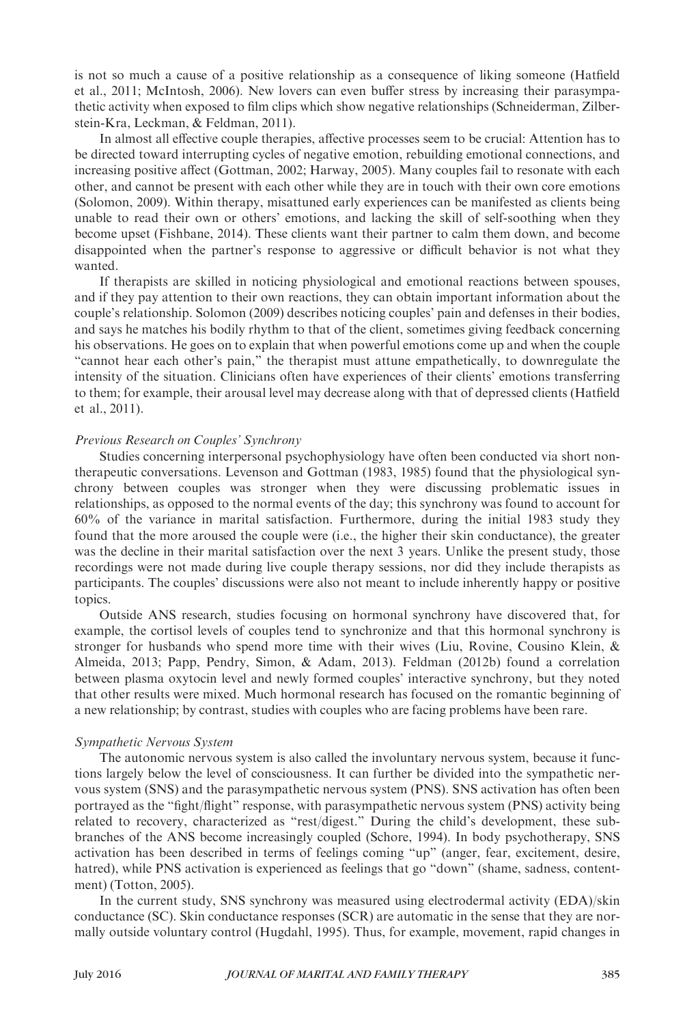is not so much a cause of a positive relationship as a consequence of liking someone (Hatfield et al., 2011; McIntosh, 2006). New lovers can even buffer stress by increasing their parasympathetic activity when exposed to film clips which show negative relationships (Schneiderman, Zilberstein-Kra, Leckman, & Feldman, 2011).

In almost all effective couple therapies, affective processes seem to be crucial: Attention has to be directed toward interrupting cycles of negative emotion, rebuilding emotional connections, and increasing positive affect (Gottman, 2002; Harway, 2005). Many couples fail to resonate with each other, and cannot be present with each other while they are in touch with their own core emotions (Solomon, 2009). Within therapy, misattuned early experiences can be manifested as clients being unable to read their own or others' emotions, and lacking the skill of self-soothing when they become upset (Fishbane, 2014). These clients want their partner to calm them down, and become disappointed when the partner's response to aggressive or difficult behavior is not what they wanted.

If therapists are skilled in noticing physiological and emotional reactions between spouses, and if they pay attention to their own reactions, they can obtain important information about the couple's relationship. Solomon (2009) describes noticing couples' pain and defenses in their bodies, and says he matches his bodily rhythm to that of the client, sometimes giving feedback concerning his observations. He goes on to explain that when powerful emotions come up and when the couple "cannot hear each other's pain," the therapist must attune empathetically, to downregulate the intensity of the situation. Clinicians often have experiences of their clients' emotions transferring to them; for example, their arousal level may decrease along with that of depressed clients (Hatfield et al., 2011).

# Previous Research on Couples' Synchrony

Studies concerning interpersonal psychophysiology have often been conducted via short nontherapeutic conversations. Levenson and Gottman (1983, 1985) found that the physiological synchrony between couples was stronger when they were discussing problematic issues in relationships, as opposed to the normal events of the day; this synchrony was found to account for 60% of the variance in marital satisfaction. Furthermore, during the initial 1983 study they found that the more aroused the couple were (i.e., the higher their skin conductance), the greater was the decline in their marital satisfaction over the next 3 years. Unlike the present study, those recordings were not made during live couple therapy sessions, nor did they include therapists as participants. The couples' discussions were also not meant to include inherently happy or positive topics.

Outside ANS research, studies focusing on hormonal synchrony have discovered that, for example, the cortisol levels of couples tend to synchronize and that this hormonal synchrony is stronger for husbands who spend more time with their wives (Liu, Rovine, Cousino Klein, & Almeida, 2013; Papp, Pendry, Simon, & Adam, 2013). Feldman (2012b) found a correlation between plasma oxytocin level and newly formed couples' interactive synchrony, but they noted that other results were mixed. Much hormonal research has focused on the romantic beginning of a new relationship; by contrast, studies with couples who are facing problems have been rare.

#### Sympathetic Nervous System

The autonomic nervous system is also called the involuntary nervous system, because it functions largely below the level of consciousness. It can further be divided into the sympathetic nervous system (SNS) and the parasympathetic nervous system (PNS). SNS activation has often been portrayed as the "fight/flight" response, with parasympathetic nervous system (PNS) activity being related to recovery, characterized as "rest/digest." During the child's development, these subbranches of the ANS become increasingly coupled (Schore, 1994). In body psychotherapy, SNS activation has been described in terms of feelings coming "up" (anger, fear, excitement, desire, hatred), while PNS activation is experienced as feelings that go "down" (shame, sadness, contentment) (Totton, 2005).

In the current study, SNS synchrony was measured using electrodermal activity (EDA)/skin conductance (SC). Skin conductance responses (SCR) are automatic in the sense that they are normally outside voluntary control (Hugdahl, 1995). Thus, for example, movement, rapid changes in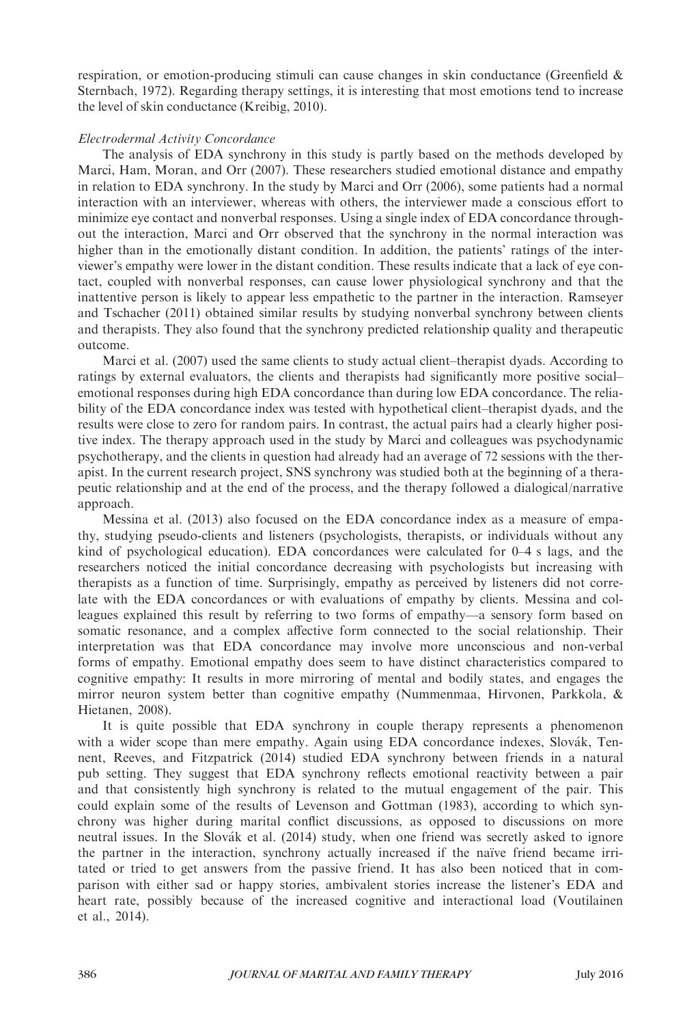respiration, or emotion-producing stimuli can cause changes in skin conductance (Greenfield & Sternbach, 1972). Regarding therapy settings, it is interesting that most emotions tend to increase the level of skin conductance (Kreibig, 2010).

# Electrodermal Activity Concordance

The analysis of EDA synchrony in this study is partly based on the methods developed by Marci, Ham, Moran, and Orr (2007). These researchers studied emotional distance and empathy in relation to EDA synchrony. In the study by Marci and Orr (2006), some patients had a normal interaction with an interviewer, whereas with others, the interviewer made a conscious effort to minimize eye contact and nonverbal responses. Using a single index of EDA concordance throughout the interaction, Marci and Orr observed that the synchrony in the normal interaction was higher than in the emotionally distant condition. In addition, the patients' ratings of the interviewer's empathy were lower in the distant condition. These results indicate that a lack of eye contact, coupled with nonverbal responses, can cause lower physiological synchrony and that the inattentive person is likely to appear less empathetic to the partner in the interaction. Ramseyer and Tschacher (2011) obtained similar results by studying nonverbal synchrony between clients and therapists. They also found that the synchrony predicted relationship quality and therapeutic outcome.

Marci et al. (2007) used the same clients to study actual client–therapist dyads. According to ratings by external evaluators, the clients and therapists had significantly more positive social– emotional responses during high EDA concordance than during low EDA concordance. The reliability of the EDA concordance index was tested with hypothetical client–therapist dyads, and the results were close to zero for random pairs. In contrast, the actual pairs had a clearly higher positive index. The therapy approach used in the study by Marci and colleagues was psychodynamic psychotherapy, and the clients in question had already had an average of 72 sessions with the therapist. In the current research project, SNS synchrony was studied both at the beginning of a therapeutic relationship and at the end of the process, and the therapy followed a dialogical/narrative approach.

Messina et al. (2013) also focused on the EDA concordance index as a measure of empathy, studying pseudo-clients and listeners (psychologists, therapists, or individuals without any kind of psychological education). EDA concordances were calculated for 0–4 s lags, and the researchers noticed the initial concordance decreasing with psychologists but increasing with therapists as a function of time. Surprisingly, empathy as perceived by listeners did not correlate with the EDA concordances or with evaluations of empathy by clients. Messina and colleagues explained this result by referring to two forms of empathy—a sensory form based on somatic resonance, and a complex affective form connected to the social relationship. Their interpretation was that EDA concordance may involve more unconscious and non-verbal forms of empathy. Emotional empathy does seem to have distinct characteristics compared to cognitive empathy: It results in more mirroring of mental and bodily states, and engages the mirror neuron system better than cognitive empathy (Nummenmaa, Hirvonen, Parkkola, & Hietanen, 2008).

It is quite possible that EDA synchrony in couple therapy represents a phenomenon with a wider scope than mere empathy. Again using EDA concordance indexes, Slovák, Tennent, Reeves, and Fitzpatrick (2014) studied EDA synchrony between friends in a natural pub setting. They suggest that EDA synchrony reflects emotional reactivity between a pair and that consistently high synchrony is related to the mutual engagement of the pair. This could explain some of the results of Levenson and Gottman (1983), according to which synchrony was higher during marital conflict discussions, as opposed to discussions on more neutral issues. In the Slovák et al. (2014) study, when one friend was secretly asked to ignore the partner in the interaction, synchrony actually increased if the naïve friend became irritated or tried to get answers from the passive friend. It has also been noticed that in comparison with either sad or happy stories, ambivalent stories increase the listener's EDA and heart rate, possibly because of the increased cognitive and interactional load (Voutilainen et al., 2014).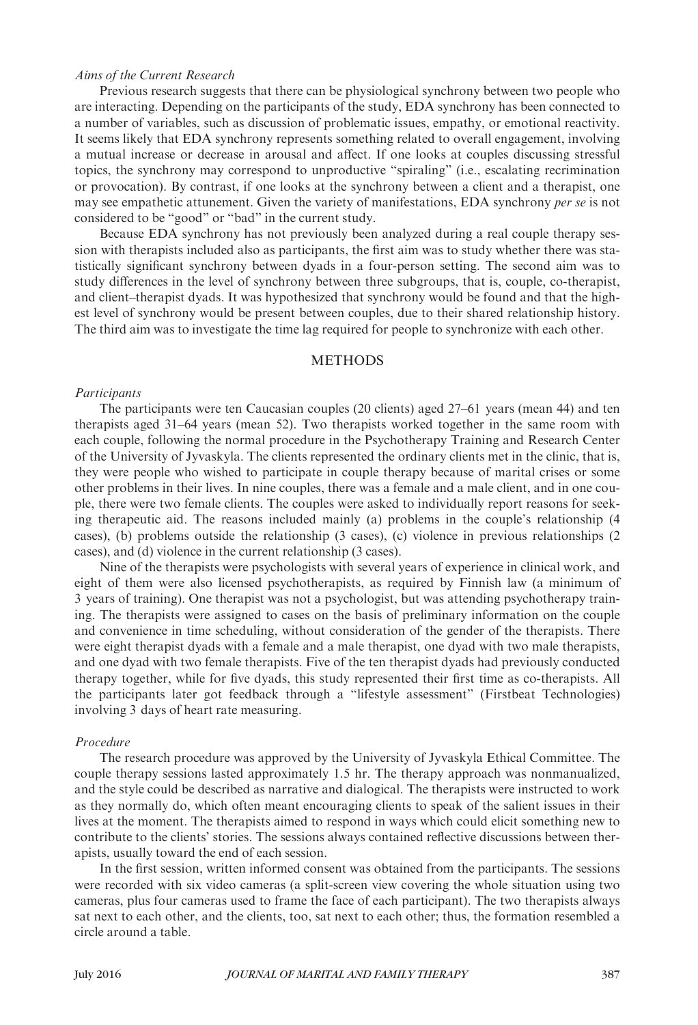## Aims of the Current Research

Previous research suggests that there can be physiological synchrony between two people who are interacting. Depending on the participants of the study, EDA synchrony has been connected to a number of variables, such as discussion of problematic issues, empathy, or emotional reactivity. It seems likely that EDA synchrony represents something related to overall engagement, involving a mutual increase or decrease in arousal and affect. If one looks at couples discussing stressful topics, the synchrony may correspond to unproductive "spiraling" (i.e., escalating recrimination or provocation). By contrast, if one looks at the synchrony between a client and a therapist, one may see empathetic attunement. Given the variety of manifestations, EDA synchrony *per se* is not considered to be "good" or "bad" in the current study.

Because EDA synchrony has not previously been analyzed during a real couple therapy session with therapists included also as participants, the first aim was to study whether there was statistically significant synchrony between dyads in a four-person setting. The second aim was to study differences in the level of synchrony between three subgroups, that is, couple, co-therapist, and client–therapist dyads. It was hypothesized that synchrony would be found and that the highest level of synchrony would be present between couples, due to their shared relationship history. The third aim was to investigate the time lag required for people to synchronize with each other.

## METHODS

#### Participants

The participants were ten Caucasian couples (20 clients) aged 27–61 years (mean 44) and ten therapists aged 31–64 years (mean 52). Two therapists worked together in the same room with each couple, following the normal procedure in the Psychotherapy Training and Research Center of the University of Jyvaskyla. The clients represented the ordinary clients met in the clinic, that is, they were people who wished to participate in couple therapy because of marital crises or some other problems in their lives. In nine couples, there was a female and a male client, and in one couple, there were two female clients. The couples were asked to individually report reasons for seeking therapeutic aid. The reasons included mainly (a) problems in the couple's relationship (4 cases), (b) problems outside the relationship (3 cases), (c) violence in previous relationships (2 cases), and (d) violence in the current relationship (3 cases).

Nine of the therapists were psychologists with several years of experience in clinical work, and eight of them were also licensed psychotherapists, as required by Finnish law (a minimum of 3 years of training). One therapist was not a psychologist, but was attending psychotherapy training. The therapists were assigned to cases on the basis of preliminary information on the couple and convenience in time scheduling, without consideration of the gender of the therapists. There were eight therapist dyads with a female and a male therapist, one dyad with two male therapists, and one dyad with two female therapists. Five of the ten therapist dyads had previously conducted therapy together, while for five dyads, this study represented their first time as co-therapists. All the participants later got feedback through a "lifestyle assessment" (Firstbeat Technologies) involving 3 days of heart rate measuring.

# Procedure

The research procedure was approved by the University of Jyvaskyla Ethical Committee. The couple therapy sessions lasted approximately 1.5 hr. The therapy approach was nonmanualized, and the style could be described as narrative and dialogical. The therapists were instructed to work as they normally do, which often meant encouraging clients to speak of the salient issues in their lives at the moment. The therapists aimed to respond in ways which could elicit something new to contribute to the clients' stories. The sessions always contained reflective discussions between therapists, usually toward the end of each session.

In the first session, written informed consent was obtained from the participants. The sessions were recorded with six video cameras (a split-screen view covering the whole situation using two cameras, plus four cameras used to frame the face of each participant). The two therapists always sat next to each other, and the clients, too, sat next to each other; thus, the formation resembled a circle around a table.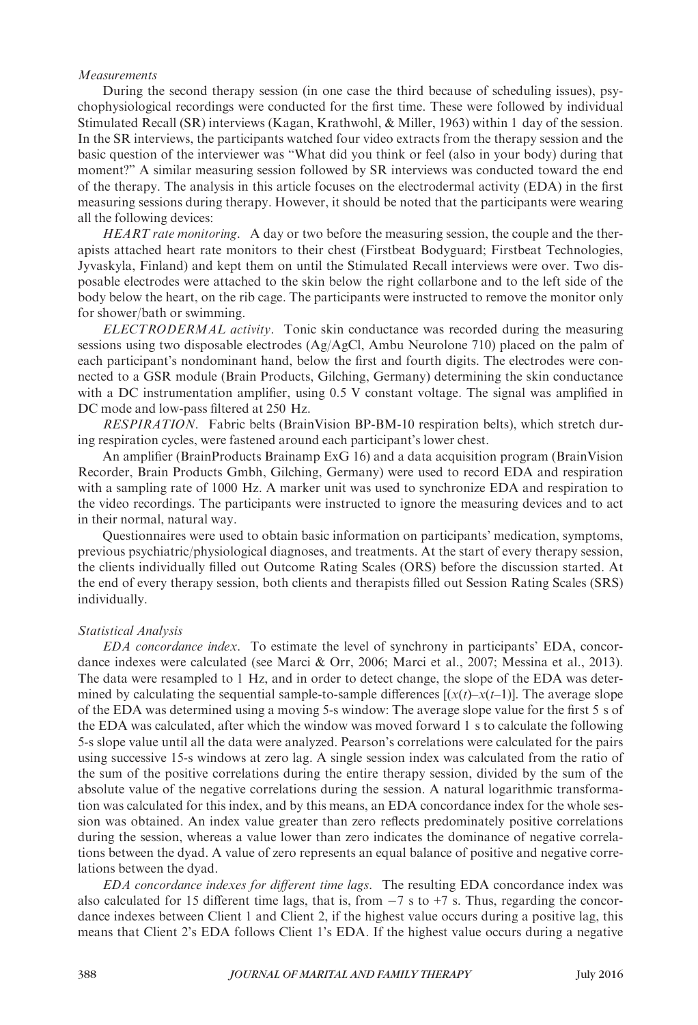# Measurements

During the second therapy session (in one case the third because of scheduling issues), psychophysiological recordings were conducted for the first time. These were followed by individual Stimulated Recall (SR) interviews (Kagan, Krathwohl, & Miller, 1963) within 1 day of the session. In the SR interviews, the participants watched four video extracts from the therapy session and the basic question of the interviewer was "What did you think or feel (also in your body) during that moment?" A similar measuring session followed by SR interviews was conducted toward the end of the therapy. The analysis in this article focuses on the electrodermal activity (EDA) in the first measuring sessions during therapy. However, it should be noted that the participants were wearing all the following devices:

HEART rate monitoring. A day or two before the measuring session, the couple and the therapists attached heart rate monitors to their chest (Firstbeat Bodyguard; Firstbeat Technologies, Jyvaskyla, Finland) and kept them on until the Stimulated Recall interviews were over. Two disposable electrodes were attached to the skin below the right collarbone and to the left side of the body below the heart, on the rib cage. The participants were instructed to remove the monitor only for shower/bath or swimming.

ELECTRODERMAL activity. Tonic skin conductance was recorded during the measuring sessions using two disposable electrodes  $(Ag/AgCl, Ambu$  Neurolone 710) placed on the palm of each participant's nondominant hand, below the first and fourth digits. The electrodes were connected to a GSR module (Brain Products, Gilching, Germany) determining the skin conductance with a DC instrumentation amplifier, using 0.5 V constant voltage. The signal was amplified in DC mode and low-pass filtered at 250 Hz.

RESPIRATION. Fabric belts (BrainVision BP-BM-10 respiration belts), which stretch during respiration cycles, were fastened around each participant's lower chest.

An amplifier (BrainProducts Brainamp ExG 16) and a data acquisition program (BrainVision Recorder, Brain Products Gmbh, Gilching, Germany) were used to record EDA and respiration with a sampling rate of 1000 Hz. A marker unit was used to synchronize EDA and respiration to the video recordings. The participants were instructed to ignore the measuring devices and to act in their normal, natural way.

Questionnaires were used to obtain basic information on participants' medication, symptoms, previous psychiatric/physiological diagnoses, and treatments. At the start of every therapy session, the clients individually filled out Outcome Rating Scales (ORS) before the discussion started. At the end of every therapy session, both clients and therapists filled out Session Rating Scales (SRS) individually.

#### Statistical Analysis

EDA concordance index. To estimate the level of synchrony in participants' EDA, concordance indexes were calculated (see Marci & Orr, 2006; Marci et al., 2007; Messina et al., 2013). The data were resampled to 1 Hz, and in order to detect change, the slope of the EDA was determined by calculating the sequential sample-to-sample differences  $[(x(t)-x(t-1))]$ . The average slope of the EDA was determined using a moving 5-s window: The average slope value for the first 5 s of the EDA was calculated, after which the window was moved forward 1 s to calculate the following 5-s slope value until all the data were analyzed. Pearson's correlations were calculated for the pairs using successive 15-s windows at zero lag. A single session index was calculated from the ratio of the sum of the positive correlations during the entire therapy session, divided by the sum of the absolute value of the negative correlations during the session. A natural logarithmic transformation was calculated for this index, and by this means, an EDA concordance index for the whole session was obtained. An index value greater than zero reflects predominately positive correlations during the session, whereas a value lower than zero indicates the dominance of negative correlations between the dyad. A value of zero represents an equal balance of positive and negative correlations between the dyad.

EDA concordance indexes for different time lags. The resulting EDA concordance index was also calculated for 15 different time lags, that is, from  $-7$  s to  $+7$  s. Thus, regarding the concordance indexes between Client 1 and Client 2, if the highest value occurs during a positive lag, this means that Client 2's EDA follows Client 1's EDA. If the highest value occurs during a negative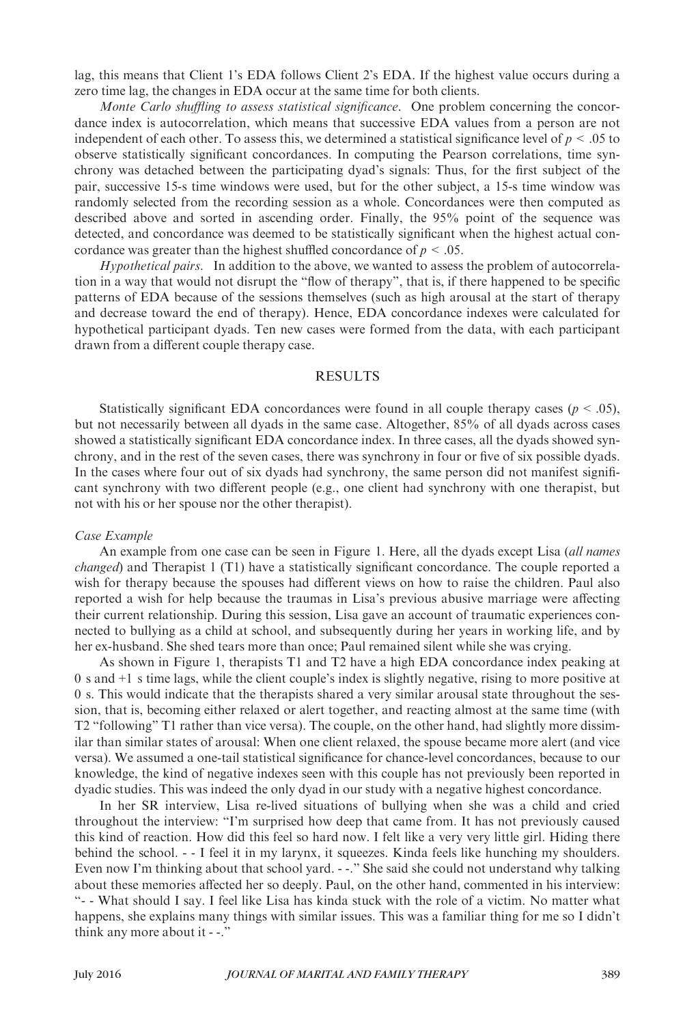lag, this means that Client 1's EDA follows Client 2's EDA. If the highest value occurs during a zero time lag, the changes in EDA occur at the same time for both clients.

Monte Carlo shuffling to assess statistical significance. One problem concerning the concordance index is autocorrelation, which means that successive EDA values from a person are not independent of each other. To assess this, we determined a statistical significance level of  $p < .05$  to observe statistically significant concordances. In computing the Pearson correlations, time synchrony was detached between the participating dyad's signals: Thus, for the first subject of the pair, successive 15-s time windows were used, but for the other subject, a 15-s time window was randomly selected from the recording session as a whole. Concordances were then computed as described above and sorted in ascending order. Finally, the 95% point of the sequence was detected, and concordance was deemed to be statistically significant when the highest actual concordance was greater than the highest shuffled concordance of  $p < .05$ .

Hypothetical pairs. In addition to the above, we wanted to assess the problem of autocorrelation in a way that would not disrupt the "flow of therapy", that is, if there happened to be specific patterns of EDA because of the sessions themselves (such as high arousal at the start of therapy and decrease toward the end of therapy). Hence, EDA concordance indexes were calculated for hypothetical participant dyads. Ten new cases were formed from the data, with each participant drawn from a different couple therapy case.

## RESULTS

Statistically significant EDA concordances were found in all couple therapy cases ( $p < .05$ ), but not necessarily between all dyads in the same case. Altogether, 85% of all dyads across cases showed a statistically significant EDA concordance index. In three cases, all the dyads showed synchrony, and in the rest of the seven cases, there was synchrony in four or five of six possible dyads. In the cases where four out of six dyads had synchrony, the same person did not manifest significant synchrony with two different people (e.g., one client had synchrony with one therapist, but not with his or her spouse nor the other therapist).

#### Case Example

An example from one case can be seen in Figure 1. Here, all the dyads except Lisa (all names changed) and Therapist 1 (T1) have a statistically significant concordance. The couple reported a wish for therapy because the spouses had different views on how to raise the children. Paul also reported a wish for help because the traumas in Lisa's previous abusive marriage were affecting their current relationship. During this session, Lisa gave an account of traumatic experiences connected to bullying as a child at school, and subsequently during her years in working life, and by her ex-husband. She shed tears more than once; Paul remained silent while she was crying.

As shown in Figure 1, therapists T1 and T2 have a high EDA concordance index peaking at 0 s and +1 s time lags, while the client couple's index is slightly negative, rising to more positive at 0 s. This would indicate that the therapists shared a very similar arousal state throughout the session, that is, becoming either relaxed or alert together, and reacting almost at the same time (with T2 "following" T1 rather than vice versa). The couple, on the other hand, had slightly more dissimilar than similar states of arousal: When one client relaxed, the spouse became more alert (and vice versa). We assumed a one-tail statistical significance for chance-level concordances, because to our knowledge, the kind of negative indexes seen with this couple has not previously been reported in dyadic studies. This was indeed the only dyad in our study with a negative highest concordance.

In her SR interview, Lisa re-lived situations of bullying when she was a child and cried throughout the interview: "I'm surprised how deep that came from. It has not previously caused this kind of reaction. How did this feel so hard now. I felt like a very very little girl. Hiding there behind the school. - - I feel it in my larynx, it squeezes. Kinda feels like hunching my shoulders. Even now I'm thinking about that school yard. - -." She said she could not understand why talking about these memories affected her so deeply. Paul, on the other hand, commented in his interview: "- - What should I say. I feel like Lisa has kinda stuck with the role of a victim. No matter what happens, she explains many things with similar issues. This was a familiar thing for me so I didn't think any more about it - -."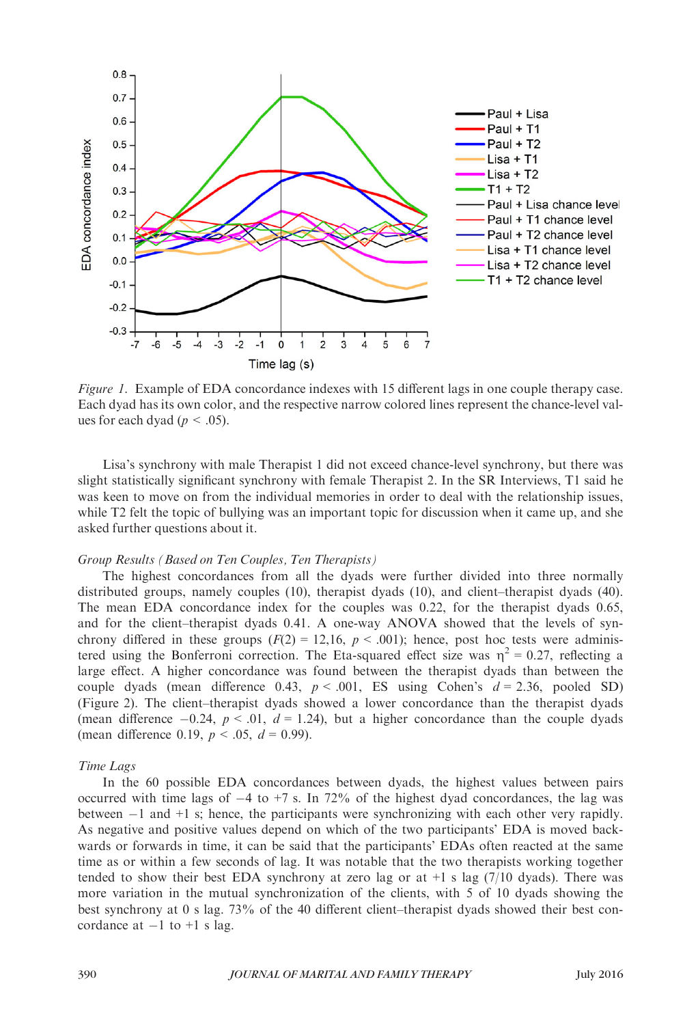

Figure 1. Example of EDA concordance indexes with 15 different lags in one couple therapy case. Each dyad has its own color, and the respective narrow colored lines represent the chance-level values for each dyad ( $p < .05$ ).

Lisa's synchrony with male Therapist 1 did not exceed chance-level synchrony, but there was slight statistically significant synchrony with female Therapist 2. In the SR Interviews, T1 said he was keen to move on from the individual memories in order to deal with the relationship issues, while T2 felt the topic of bullying was an important topic for discussion when it came up, and she asked further questions about it.

# Group Results (Based on Ten Couples, Ten Therapists)

The highest concordances from all the dyads were further divided into three normally distributed groups, namely couples (10), therapist dyads (10), and client–therapist dyads (40). The mean EDA concordance index for the couples was 0.22, for the therapist dyads 0.65, and for the client–therapist dyads 0.41. A one-way ANOVA showed that the levels of synchrony differed in these groups  $(F(2) = 12,16, p < .001)$ ; hence, post hoc tests were administered using the Bonferroni correction. The Eta-squared effect size was  $\eta^2 = 0.27$ , reflecting a large effect. A higher concordance was found between the therapist dyads than between the couple dyads (mean difference 0.43,  $p < .001$ , ES using Cohen's  $d = 2.36$ , pooled SD) (Figure 2). The client–therapist dyads showed a lower concordance than the therapist dyads (mean difference  $-0.24$ ,  $p < .01$ ,  $d = 1.24$ ), but a higher concordance than the couple dyads (mean difference 0.19,  $p < .05$ ,  $d = 0.99$ ).

#### Time Lags

In the 60 possible EDA concordances between dyads, the highest values between pairs occurred with time lags of  $-4$  to  $+7$  s. In 72% of the highest dyad concordances, the lag was between  $-1$  and  $+1$  s; hence, the participants were synchronizing with each other very rapidly. As negative and positive values depend on which of the two participants' EDA is moved backwards or forwards in time, it can be said that the participants' EDAs often reacted at the same time as or within a few seconds of lag. It was notable that the two therapists working together tended to show their best EDA synchrony at zero lag or at  $+1$  s lag (7/10 dyads). There was more variation in the mutual synchronization of the clients, with 5 of 10 dyads showing the best synchrony at 0 s lag. 73% of the 40 different client–therapist dyads showed their best concordance at  $-1$  to  $+1$  s lag.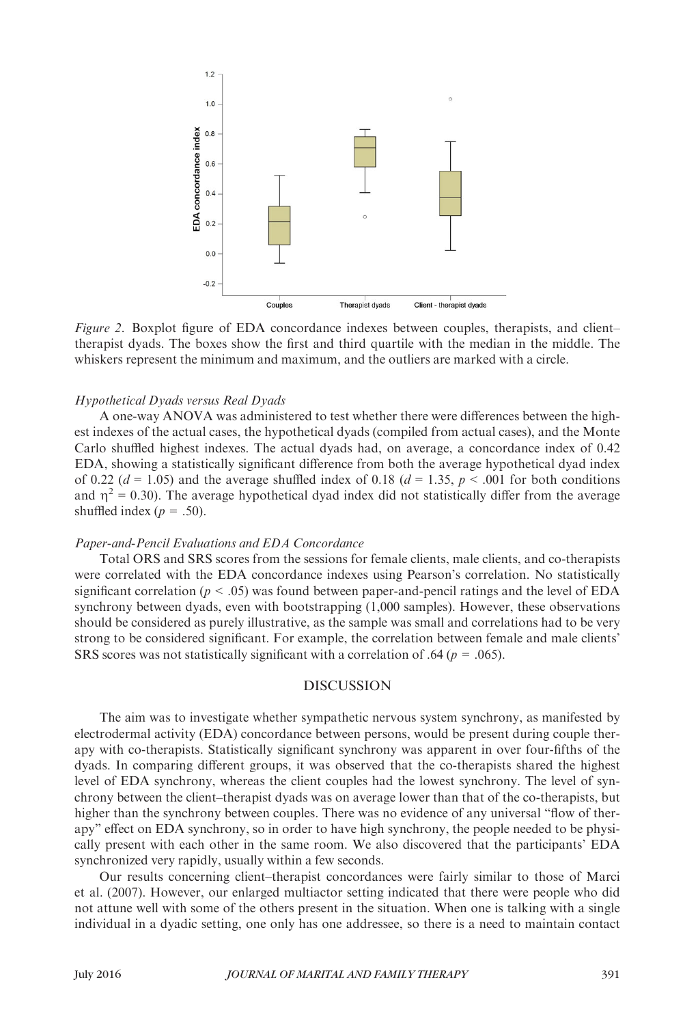

Figure 2. Boxplot figure of EDA concordance indexes between couples, therapists, and client– therapist dyads. The boxes show the first and third quartile with the median in the middle. The whiskers represent the minimum and maximum, and the outliers are marked with a circle.

#### Hypothetical Dyads versus Real Dyads

A one-way ANOVA was administered to test whether there were differences between the highest indexes of the actual cases, the hypothetical dyads (compiled from actual cases), and the Monte Carlo shuffled highest indexes. The actual dyads had, on average, a concordance index of 0.42 EDA, showing a statistically significant difference from both the average hypothetical dyad index of 0.22 ( $d = 1.05$ ) and the average shuffled index of 0.18 ( $d = 1.35$ ,  $p < .001$  for both conditions and  $\eta^2 = 0.30$ ). The average hypothetical dyad index did not statistically differ from the average shuffled index ( $p = .50$ ).

#### Paper-and-Pencil Evaluations and EDA Concordance

Total ORS and SRS scores from the sessions for female clients, male clients, and co-therapists were correlated with the EDA concordance indexes using Pearson's correlation. No statistically significant correlation ( $p < .05$ ) was found between paper-and-pencil ratings and the level of EDA synchrony between dyads, even with bootstrapping (1,000 samples). However, these observations should be considered as purely illustrative, as the sample was small and correlations had to be very strong to be considered significant. For example, the correlation between female and male clients' SRS scores was not statistically significant with a correlation of .64 ( $p = .065$ ).

# DISCUSSION

The aim was to investigate whether sympathetic nervous system synchrony, as manifested by electrodermal activity (EDA) concordance between persons, would be present during couple therapy with co-therapists. Statistically significant synchrony was apparent in over four-fifths of the dyads. In comparing different groups, it was observed that the co-therapists shared the highest level of EDA synchrony, whereas the client couples had the lowest synchrony. The level of synchrony between the client–therapist dyads was on average lower than that of the co-therapists, but higher than the synchrony between couples. There was no evidence of any universal "flow of therapy" effect on EDA synchrony, so in order to have high synchrony, the people needed to be physically present with each other in the same room. We also discovered that the participants' EDA synchronized very rapidly, usually within a few seconds.

Our results concerning client–therapist concordances were fairly similar to those of Marci et al. (2007). However, our enlarged multiactor setting indicated that there were people who did not attune well with some of the others present in the situation. When one is talking with a single individual in a dyadic setting, one only has one addressee, so there is a need to maintain contact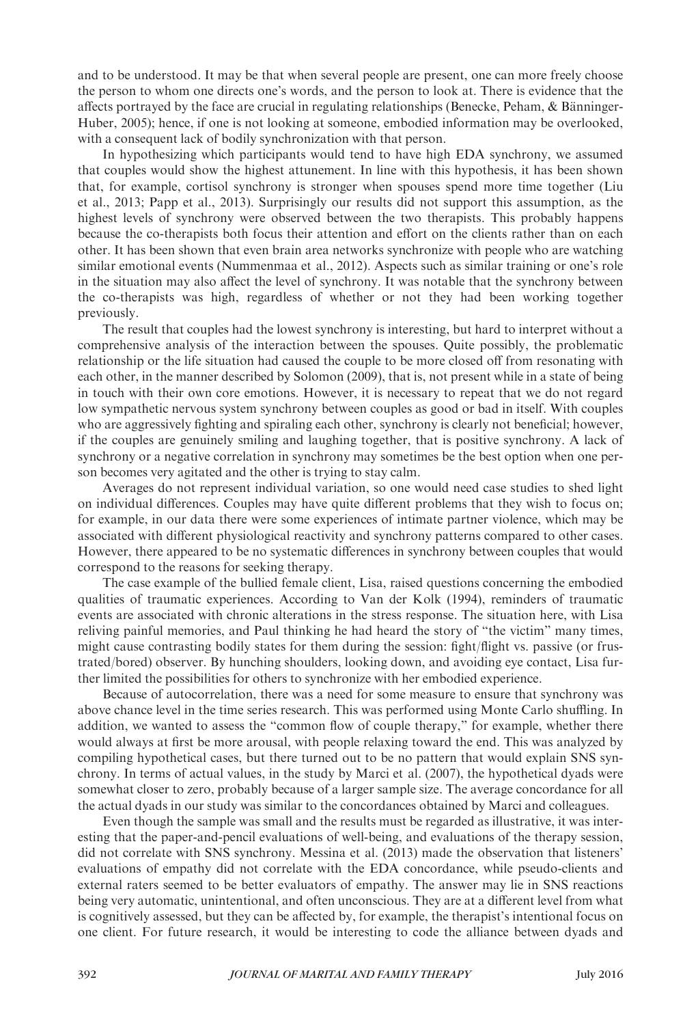and to be understood. It may be that when several people are present, one can more freely choose the person to whom one directs one's words, and the person to look at. There is evidence that the affects portrayed by the face are crucial in regulating relationships (Benecke, Peham, & Bänninger-Huber, 2005); hence, if one is not looking at someone, embodied information may be overlooked, with a consequent lack of bodily synchronization with that person.

In hypothesizing which participants would tend to have high EDA synchrony, we assumed that couples would show the highest attunement. In line with this hypothesis, it has been shown that, for example, cortisol synchrony is stronger when spouses spend more time together (Liu et al., 2013; Papp et al., 2013). Surprisingly our results did not support this assumption, as the highest levels of synchrony were observed between the two therapists. This probably happens because the co-therapists both focus their attention and effort on the clients rather than on each other. It has been shown that even brain area networks synchronize with people who are watching similar emotional events (Nummenmaa et al., 2012). Aspects such as similar training or one's role in the situation may also affect the level of synchrony. It was notable that the synchrony between the co-therapists was high, regardless of whether or not they had been working together previously.

The result that couples had the lowest synchrony is interesting, but hard to interpret without a comprehensive analysis of the interaction between the spouses. Quite possibly, the problematic relationship or the life situation had caused the couple to be more closed off from resonating with each other, in the manner described by Solomon (2009), that is, not present while in a state of being in touch with their own core emotions. However, it is necessary to repeat that we do not regard low sympathetic nervous system synchrony between couples as good or bad in itself. With couples who are aggressively fighting and spiraling each other, synchrony is clearly not beneficial; however, if the couples are genuinely smiling and laughing together, that is positive synchrony. A lack of synchrony or a negative correlation in synchrony may sometimes be the best option when one person becomes very agitated and the other is trying to stay calm.

Averages do not represent individual variation, so one would need case studies to shed light on individual differences. Couples may have quite different problems that they wish to focus on; for example, in our data there were some experiences of intimate partner violence, which may be associated with different physiological reactivity and synchrony patterns compared to other cases. However, there appeared to be no systematic differences in synchrony between couples that would correspond to the reasons for seeking therapy.

The case example of the bullied female client, Lisa, raised questions concerning the embodied qualities of traumatic experiences. According to Van der Kolk (1994), reminders of traumatic events are associated with chronic alterations in the stress response. The situation here, with Lisa reliving painful memories, and Paul thinking he had heard the story of "the victim" many times, might cause contrasting bodily states for them during the session: fight/flight vs. passive (or frustrated/bored) observer. By hunching shoulders, looking down, and avoiding eye contact, Lisa further limited the possibilities for others to synchronize with her embodied experience.

Because of autocorrelation, there was a need for some measure to ensure that synchrony was above chance level in the time series research. This was performed using Monte Carlo shuffling. In addition, we wanted to assess the "common flow of couple therapy," for example, whether there would always at first be more arousal, with people relaxing toward the end. This was analyzed by compiling hypothetical cases, but there turned out to be no pattern that would explain SNS synchrony. In terms of actual values, in the study by Marci et al. (2007), the hypothetical dyads were somewhat closer to zero, probably because of a larger sample size. The average concordance for all the actual dyads in our study was similar to the concordances obtained by Marci and colleagues.

Even though the sample was small and the results must be regarded as illustrative, it was interesting that the paper-and-pencil evaluations of well-being, and evaluations of the therapy session, did not correlate with SNS synchrony. Messina et al. (2013) made the observation that listeners' evaluations of empathy did not correlate with the EDA concordance, while pseudo-clients and external raters seemed to be better evaluators of empathy. The answer may lie in SNS reactions being very automatic, unintentional, and often unconscious. They are at a different level from what is cognitively assessed, but they can be affected by, for example, the therapist's intentional focus on one client. For future research, it would be interesting to code the alliance between dyads and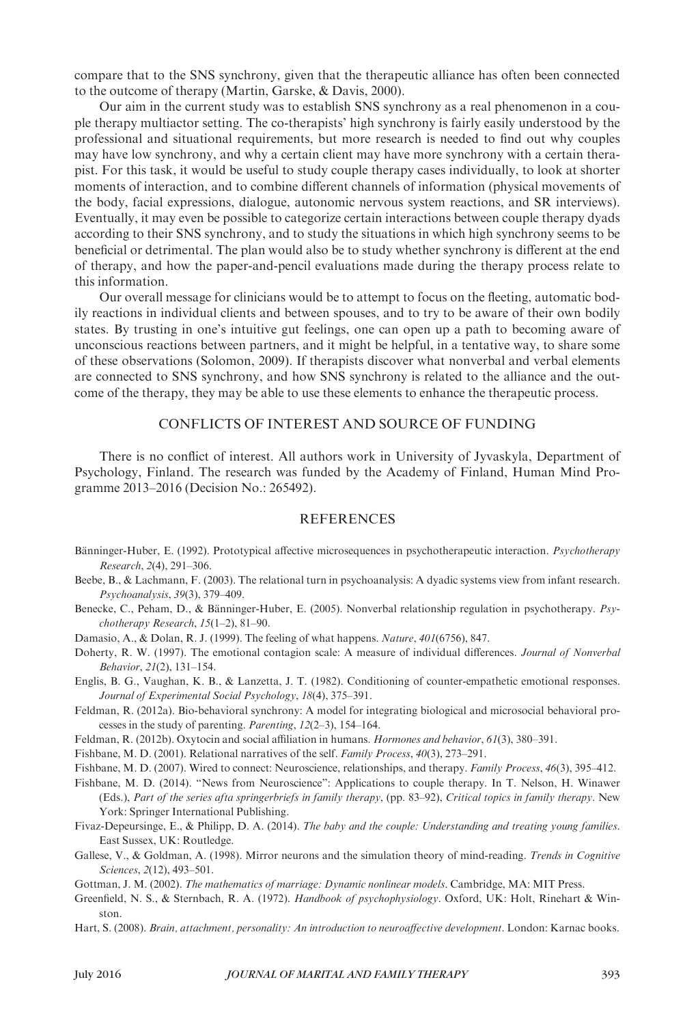compare that to the SNS synchrony, given that the therapeutic alliance has often been connected to the outcome of therapy (Martin, Garske, & Davis, 2000).

Our aim in the current study was to establish SNS synchrony as a real phenomenon in a couple therapy multiactor setting. The co-therapists' high synchrony is fairly easily understood by the professional and situational requirements, but more research is needed to find out why couples may have low synchrony, and why a certain client may have more synchrony with a certain therapist. For this task, it would be useful to study couple therapy cases individually, to look at shorter moments of interaction, and to combine different channels of information (physical movements of the body, facial expressions, dialogue, autonomic nervous system reactions, and SR interviews). Eventually, it may even be possible to categorize certain interactions between couple therapy dyads according to their SNS synchrony, and to study the situations in which high synchrony seems to be beneficial or detrimental. The plan would also be to study whether synchrony is different at the end of therapy, and how the paper-and-pencil evaluations made during the therapy process relate to this information.

Our overall message for clinicians would be to attempt to focus on the fleeting, automatic bodily reactions in individual clients and between spouses, and to try to be aware of their own bodily states. By trusting in one's intuitive gut feelings, one can open up a path to becoming aware of unconscious reactions between partners, and it might be helpful, in a tentative way, to share some of these observations (Solomon, 2009). If therapists discover what nonverbal and verbal elements are connected to SNS synchrony, and how SNS synchrony is related to the alliance and the outcome of the therapy, they may be able to use these elements to enhance the therapeutic process.

## CONFLICTS OF INTEREST AND SOURCE OF FUNDING

There is no conflict of interest. All authors work in University of Jyvaskyla, Department of Psychology, Finland. The research was funded by the Academy of Finland, Human Mind Programme 2013–2016 (Decision No.: 265492).

#### REFERENCES

- Bänninger-Huber, E. (1992). Prototypical affective microsequences in psychotherapeutic interaction. Psychotherapy Research, 2(4), 291–306.
- Beebe, B., & Lachmann, F. (2003). The relational turn in psychoanalysis: A dyadic systems view from infant research. Psychoanalysis, 39(3), 379–409.
- Benecke, C., Peham, D., & Bänninger-Huber, E. (2005). Nonverbal relationship regulation in psychotherapy. Psychotherapy Research, 15(1–2), 81–90.
- Damasio, A., & Dolan, R. J. (1999). The feeling of what happens. Nature, 401(6756), 847.
- Doherty, R. W. (1997). The emotional contagion scale: A measure of individual differences. Journal of Nonverbal Behavior, 21(2), 131–154.
- Englis, B. G., Vaughan, K. B., & Lanzetta, J. T. (1982). Conditioning of counter-empathetic emotional responses. Journal of Experimental Social Psychology, 18(4), 375–391.
- Feldman, R. (2012a). Bio-behavioral synchrony: A model for integrating biological and microsocial behavioral processes in the study of parenting. Parenting, 12(2–3), 154–164.
- Feldman, R. (2012b). Oxytocin and social affiliation in humans. Hormones and behavior, 61(3), 380–391.
- Fishbane, M. D. (2001). Relational narratives of the self. Family Process, 40(3), 273–291.

- Fishbane, M. D. (2014). "News from Neuroscience": Applications to couple therapy. In T. Nelson, H. Winawer (Eds.), Part of the series afta springerbriefs in family therapy, (pp. 83–92), Critical topics in family therapy. New York: Springer International Publishing.
- Fivaz-Depeursinge, E., & Philipp, D. A. (2014). The baby and the couple: Understanding and treating young families. East Sussex, UK: Routledge.
- Gallese, V., & Goldman, A. (1998). Mirror neurons and the simulation theory of mind-reading. Trends in Cognitive Sciences, 2(12), 493–501.
- Gottman, J. M. (2002). The mathematics of marriage: Dynamic nonlinear models. Cambridge, MA: MIT Press.
- Greenfield, N. S., & Sternbach, R. A. (1972). Handbook of psychophysiology. Oxford, UK: Holt, Rinehart & Winston.
- Hart, S. (2008). Brain, attachment, personality: An introduction to neuroaffective development. London: Karnac books.

Fishbane, M. D. (2007). Wired to connect: Neuroscience, relationships, and therapy. Family Process, 46(3), 395–412.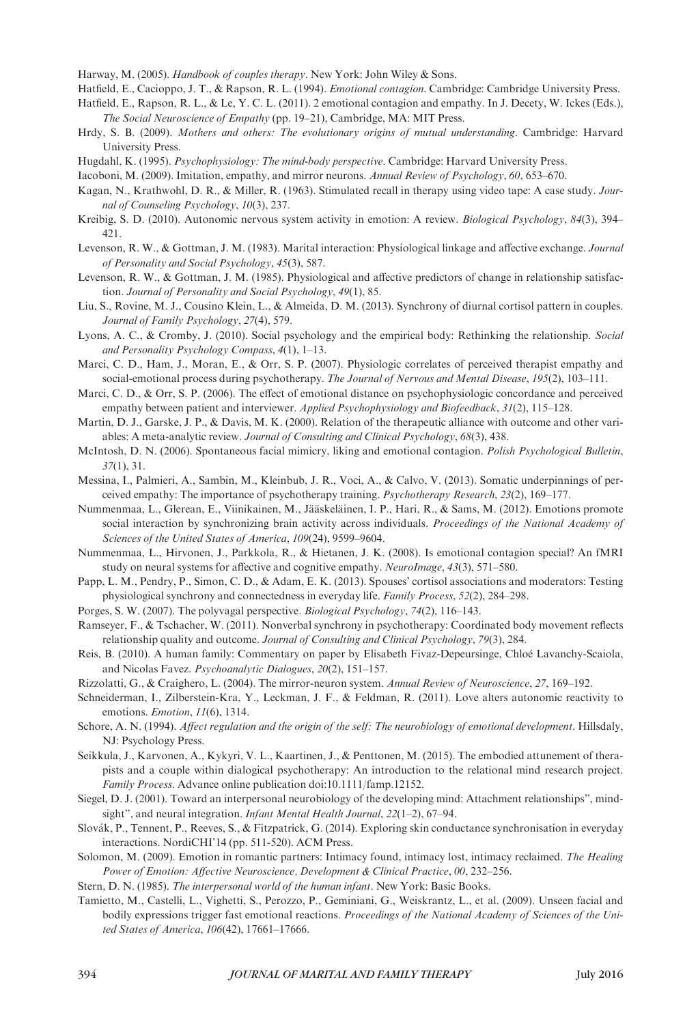Harway, M. (2005). Handbook of couples therapy. New York: John Wiley & Sons.

- Hatfield, E., Cacioppo, J. T., & Rapson, R. L. (1994). Emotional contagion. Cambridge: Cambridge University Press.
- Hatfield, E., Rapson, R. L., & Le, Y. C. L. (2011). 2 emotional contagion and empathy. In J. Decety, W. Ickes (Eds.), The Social Neuroscience of Empathy (pp. 19–21), Cambridge, MA: MIT Press.
- Hrdy, S. B. (2009). Mothers and others: The evolutionary origins of mutual understanding. Cambridge: Harvard University Press.
- Hugdahl, K. (1995). Psychophysiology: The mind-body perspective. Cambridge: Harvard University Press.
- Iacoboni, M. (2009). Imitation, empathy, and mirror neurons. Annual Review of Psychology, 60, 653–670.
- Kagan, N., Krathwohl, D. R., & Miller, R. (1963). Stimulated recall in therapy using video tape: A case study. Journal of Counseling Psychology, 10(3), 237.
- Kreibig, S. D. (2010). Autonomic nervous system activity in emotion: A review. Biological Psychology, 84(3), 394– 421.
- Levenson, R. W., & Gottman, J. M. (1983). Marital interaction: Physiological linkage and affective exchange. Journal of Personality and Social Psychology, 45(3), 587.
- Levenson, R. W., & Gottman, J. M. (1985). Physiological and affective predictors of change in relationship satisfaction. Journal of Personality and Social Psychology, 49(1), 85.
- Liu, S., Rovine, M. J., Cousino Klein, L., & Almeida, D. M. (2013). Synchrony of diurnal cortisol pattern in couples. Journal of Family Psychology, 27(4), 579.
- Lyons, A. C., & Cromby, J. (2010). Social psychology and the empirical body: Rethinking the relationship. Social and Personality Psychology Compass, 4(1), 1–13.
- Marci, C. D., Ham, J., Moran, E., & Orr, S. P. (2007). Physiologic correlates of perceived therapist empathy and social-emotional process during psychotherapy. The Journal of Nervous and Mental Disease, 195(2), 103-111.
- Marci, C. D., & Orr, S. P. (2006). The effect of emotional distance on psychophysiologic concordance and perceived empathy between patient and interviewer. Applied Psychophysiology and Biofeedback, 31(2), 115–128.
- Martin, D. J., Garske, J. P., & Davis, M. K. (2000). Relation of the therapeutic alliance with outcome and other variables: A meta-analytic review. Journal of Consulting and Clinical Psychology, 68(3), 438.
- McIntosh, D. N. (2006). Spontaneous facial mimicry, liking and emotional contagion. Polish Psychological Bulletin, 37(1), 31.
- Messina, I., Palmieri, A., Sambin, M., Kleinbub, J. R., Voci, A., & Calvo, V. (2013). Somatic underpinnings of perceived empathy: The importance of psychotherapy training. Psychotherapy Research, 23(2), 169–177.
- Nummenmaa, L., Glerean, E., Viinikainen, M., Jääskeläinen, I. P., Hari, R., & Sams, M. (2012). Emotions promote social interaction by synchronizing brain activity across individuals. Proceedings of the National Academy of Sciences of the United States of America, 109(24), 9599–9604.
- Nummenmaa, L., Hirvonen, J., Parkkola, R., & Hietanen, J. K. (2008). Is emotional contagion special? An fMRI study on neural systems for affective and cognitive empathy. NeuroImage, 43(3), 571–580.
- Papp, L. M., Pendry, P., Simon, C. D., & Adam, E. K. (2013). Spouses' cortisol associations and moderators: Testing physiological synchrony and connectedness in everyday life. Family Process, 52(2), 284–298.
- Porges, S. W. (2007). The polyvagal perspective. Biological Psychology, 74(2), 116–143.
- Ramseyer, F., & Tschacher, W. (2011). Nonverbal synchrony in psychotherapy: Coordinated body movement reflects relationship quality and outcome. Journal of Consulting and Clinical Psychology, 79(3), 284.
- Reis, B. (2010). A human family: Commentary on paper by Elisabeth Fivaz-Depeursinge, Chloé Lavanchy-Scaiola, and Nicolas Favez. Psychoanalytic Dialogues, 20(2), 151–157.
- Rizzolatti, G., & Craighero, L. (2004). The mirror-neuron system. Annual Review of Neuroscience, 27, 169–192.
- Schneiderman, I., Zilberstein-Kra, Y., Leckman, J. F., & Feldman, R. (2011). Love alters autonomic reactivity to emotions. Emotion, 11(6), 1314.
- Schore, A. N. (1994). Affect regulation and the origin of the self: The neurobiology of emotional development. Hillsdaly, NJ: Psychology Press.
- Seikkula, J., Karvonen, A., Kykyri, V. L., Kaartinen, J., & Penttonen, M. (2015). The embodied attunement of therapists and a couple within dialogical psychotherapy: An introduction to the relational mind research project. Family Process. Advance online publication doi[:10.1111/famp.12152](http://dx.doi.org/10.1111/famp.12152).
- Siegel, D. J. (2001). Toward an interpersonal neurobiology of the developing mind: Attachment relationships", mindsight", and neural integration. *Infant Mental Health Journal*, 22(1–2), 67–94.
- Slovák, P., Tennent, P., Reeves, S., & Fitzpatrick, G. (2014). Exploring skin conductance synchronisation in everyday interactions. NordiCHI'14 (pp. 511-520). ACM Press.
- Solomon, M. (2009). Emotion in romantic partners: Intimacy found, intimacy lost, intimacy reclaimed. The Healing Power of Emotion: Affective Neuroscience, Development & Clinical Practice, 00, 232–256.
- Stern, D. N. (1985). The interpersonal world of the human infant. New York: Basic Books.
- Tamietto, M., Castelli, L., Vighetti, S., Perozzo, P., Geminiani, G., Weiskrantz, L., et al. (2009). Unseen facial and bodily expressions trigger fast emotional reactions. Proceedings of the National Academy of Sciences of the United States of America, 106(42), 17661–17666.